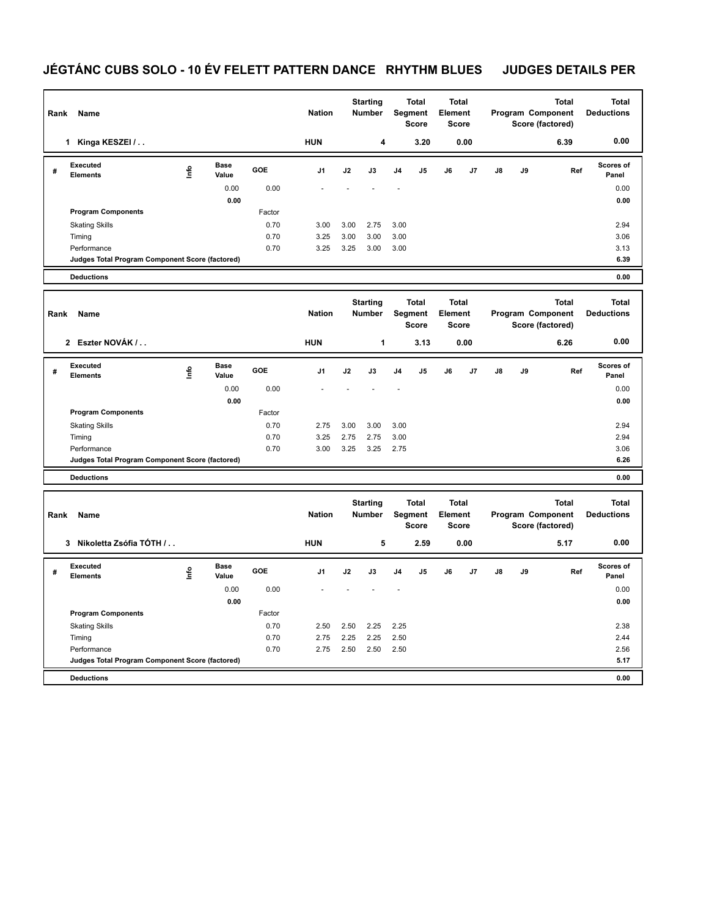## JÉGTÁNC CUBS SOLO - 10 ÉV FELETT PATTERN DANCE RHYTHM BLUES JUDGES DETAILS PER

| Rank<br>Name |                                                 |   |               |            |                |      | <b>Starting</b><br><b>Number</b> |            | <b>Total</b><br>Segment<br><b>Score</b> | <b>Total</b><br>Element<br><b>Score</b> |      |    |    | <b>Total</b><br>Program Component<br>Score (factored) | <b>Total</b><br><b>Deductions</b> |
|--------------|-------------------------------------------------|---|---------------|------------|----------------|------|----------------------------------|------------|-----------------------------------------|-----------------------------------------|------|----|----|-------------------------------------------------------|-----------------------------------|
|              | Kinga KESZEI /<br>1.                            |   |               |            | <b>HUN</b>     |      | 4                                |            | 3.20                                    |                                         | 0.00 |    |    | 6.39                                                  | 0.00                              |
| #            | Executed<br><b>Elements</b>                     | ۴ | Base<br>Value | <b>GOE</b> | J <sub>1</sub> | J2   | J3                               | J4         | J <sub>5</sub>                          | J6                                      | J7   | J8 | J9 | Ref                                                   | <b>Scores of</b><br>Panel         |
|              |                                                 |   | 0.00          | 0.00       |                |      |                                  | <u>. .</u> |                                         |                                         |      |    |    |                                                       | 0.00                              |
|              |                                                 |   | 0.00          |            |                |      |                                  |            |                                         |                                         |      |    |    |                                                       | 0.00                              |
|              | <b>Program Components</b>                       |   |               | Factor     |                |      |                                  |            |                                         |                                         |      |    |    |                                                       |                                   |
|              | <b>Skating Skills</b>                           |   |               | 0.70       | 3.00           | 3.00 | 2.75                             | 3.00       |                                         |                                         |      |    |    |                                                       | 2.94                              |
|              | Timing                                          |   |               | 0.70       | 3.25           | 3.00 | 3.00                             | 3.00       |                                         |                                         |      |    |    |                                                       | 3.06                              |
|              | Performance                                     |   |               | 0.70       | 3.25           | 3.25 | 3.00                             | 3.00       |                                         |                                         |      |    |    |                                                       | 3.13                              |
|              | Judges Total Program Component Score (factored) |   |               |            |                |      |                                  |            |                                         |                                         |      |    |    |                                                       | 6.39                              |
|              | <b>Deductions</b>                               |   |               |            |                |      |                                  |            |                                         |                                         |      |    |    |                                                       | 0.00                              |

|   | Name<br>Rank                                    |      |               |            | <b>Starting</b><br><b>Nation</b><br><b>Number</b> |      | <b>Total</b><br>Segment<br><b>Score</b> |                | <b>Total</b><br>Element<br><b>Score</b> |    |                |               | <b>Total</b><br>Program Component<br>Score (factored) | <b>Total</b><br><b>Deductions</b> |                           |
|---|-------------------------------------------------|------|---------------|------------|---------------------------------------------------|------|-----------------------------------------|----------------|-----------------------------------------|----|----------------|---------------|-------------------------------------------------------|-----------------------------------|---------------------------|
|   | Eszter NOVÁK /<br>$\overline{2}$                |      |               |            | <b>HUN</b>                                        |      | 1                                       |                | 3.13                                    |    | 0.00           |               |                                                       | 6.26                              | 0.00                      |
| # | <b>Executed</b><br><b>Elements</b>              | lnfo | Base<br>Value | <b>GOE</b> | J <sub>1</sub>                                    | J2   | J3                                      | J <sub>4</sub> | J <sub>5</sub>                          | J6 | J <sub>7</sub> | $\mathsf{J}8$ | J9                                                    | Ref                               | <b>Scores of</b><br>Panel |
|   |                                                 |      | 0.00          | 0.00       |                                                   |      |                                         |                |                                         |    |                |               |                                                       |                                   | 0.00                      |
|   |                                                 |      | 0.00          |            |                                                   |      |                                         |                |                                         |    |                |               |                                                       |                                   | 0.00                      |
|   | <b>Program Components</b>                       |      |               | Factor     |                                                   |      |                                         |                |                                         |    |                |               |                                                       |                                   |                           |
|   | <b>Skating Skills</b>                           |      |               | 0.70       | 2.75                                              | 3.00 | 3.00                                    | 3.00           |                                         |    |                |               |                                                       |                                   | 2.94                      |
|   | Timing                                          |      |               | 0.70       | 3.25                                              | 2.75 | 2.75                                    | 3.00           |                                         |    |                |               |                                                       |                                   | 2.94                      |
|   | Performance                                     |      |               | 0.70       | 3.00                                              | 3.25 | 3.25                                    | 2.75           |                                         |    |                |               |                                                       |                                   | 3.06                      |
|   | Judges Total Program Component Score (factored) |      |               |            |                                                   |      |                                         |                |                                         |    |                |               |                                                       |                                   | 6.26                      |
|   | <b>Deductions</b>                               |      |               |            |                                                   |      |                                         |                |                                         |    |                |               |                                                       |                                   | 0.00                      |

|   | Name<br>Rank                                    |      |               |            |                |      | <b>Starting</b><br><b>Number</b> |                | <b>Total</b><br>Segment<br><b>Score</b> |    | <b>Total</b><br>Element<br>Score |    |    | <b>Total</b><br>Program Component<br>Score (factored) | <b>Total</b><br><b>Deductions</b> |
|---|-------------------------------------------------|------|---------------|------------|----------------|------|----------------------------------|----------------|-----------------------------------------|----|----------------------------------|----|----|-------------------------------------------------------|-----------------------------------|
|   | Nikoletta Zsófia TÓTH /<br>3                    |      |               |            | <b>HUN</b>     |      | 5                                |                | 2.59                                    |    | 0.00                             |    |    | 5.17                                                  | 0.00                              |
| # | <b>Executed</b><br><b>Elements</b>              | ١nto | Base<br>Value | <b>GOE</b> | J <sub>1</sub> | J2   | J3                               | J <sub>4</sub> | J5                                      | J6 | J7                               | J8 | J9 | Ref                                                   | <b>Scores of</b><br>Panel         |
|   |                                                 |      | 0.00          | 0.00       |                |      |                                  |                |                                         |    |                                  |    |    |                                                       | 0.00                              |
|   |                                                 |      | 0.00          |            |                |      |                                  |                |                                         |    |                                  |    |    |                                                       | 0.00                              |
|   | <b>Program Components</b>                       |      |               | Factor     |                |      |                                  |                |                                         |    |                                  |    |    |                                                       |                                   |
|   | <b>Skating Skills</b>                           |      |               | 0.70       | 2.50           | 2.50 | 2.25                             | 2.25           |                                         |    |                                  |    |    |                                                       | 2.38                              |
|   | Timing                                          |      |               | 0.70       | 2.75           | 2.25 | 2.25                             | 2.50           |                                         |    |                                  |    |    |                                                       | 2.44                              |
|   | Performance                                     |      |               | 0.70       | 2.75           | 2.50 | 2.50                             | 2.50           |                                         |    |                                  |    |    |                                                       | 2.56                              |
|   | Judges Total Program Component Score (factored) |      |               |            |                |      |                                  |                |                                         |    |                                  |    |    |                                                       | 5.17                              |
|   | <b>Deductions</b>                               |      |               |            |                |      |                                  |                |                                         |    |                                  |    |    |                                                       | 0.00                              |